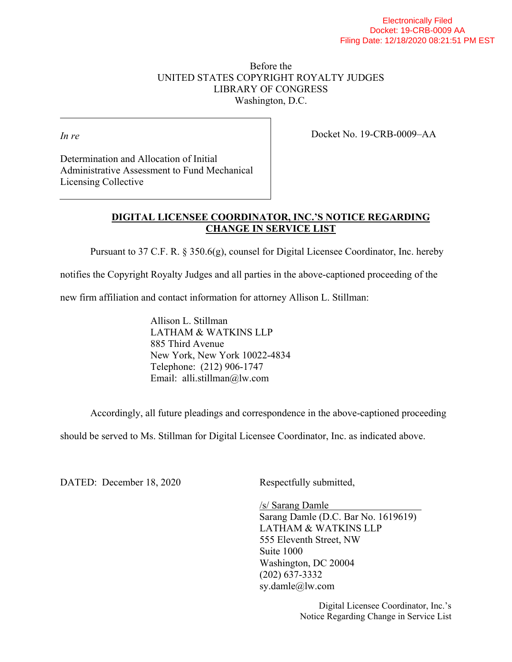## Before the UNITED STATES COPYRIGHT ROYALTY JUDGES LIBRARY OF CONGRESS Washington, D.C.

*In re* 

Docket No. 19-CRB-0009–AA

Determination and Allocation of Initial Administrative Assessment to Fund Mechanical Licensing Collective

## **DIGITAL LICENSEE COORDINATOR, INC.'S NOTICE REGARDING CHANGE IN SERVICE LIST**

Pursuant to 37 C.F. R.  $\S 350.6(g)$ , counsel for Digital Licensee Coordinator, Inc. hereby

notifies the Copyright Royalty Judges and all parties in the above-captioned proceeding of the

new firm affiliation and contact information for attorney Allison L. Stillman:

Allison L. Stillman LATHAM & WATKINS LLP 885 Third Avenue New York, New York 10022-4834 Telephone: (212) 906-1747 Email: alli.stillman@lw.com

Accordingly, all future pleadings and correspondence in the above-captioned proceeding

should be served to Ms. Stillman for Digital Licensee Coordinator, Inc. as indicated above.

DATED: December 18, 2020 Respectfully submitted,

/s/ Sarang Damle Sarang Damle (D.C. Bar No. 1619619) LATHAM & WATKINS LLP 555 Eleventh Street, NW Suite 1000 Washington, DC 20004 (202) 637-3332 sy.damle@lw.com

> Digital Licensee Coordinator, Inc.'s Notice Regarding Change in Service List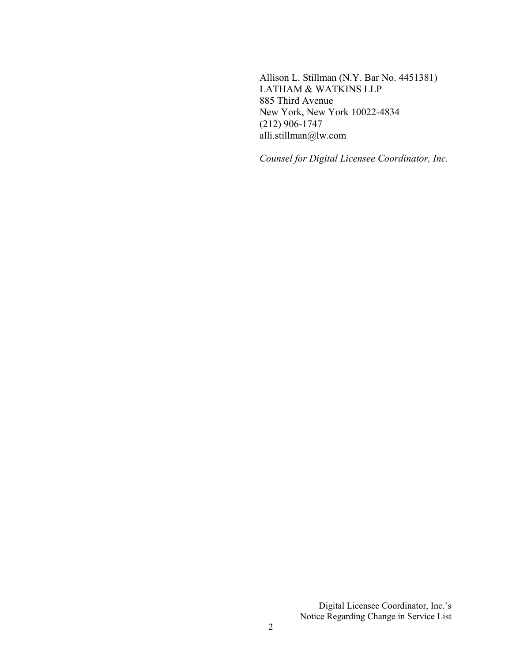Allison L. Stillman (N.Y. Bar No. 4451381) LATHAM & WATKINS LLP 885 Third Avenue New York, New York 10022-4834 (212) 906-1747 alli.stillman@lw.com

*Counsel for Digital Licensee Coordinator, Inc.*